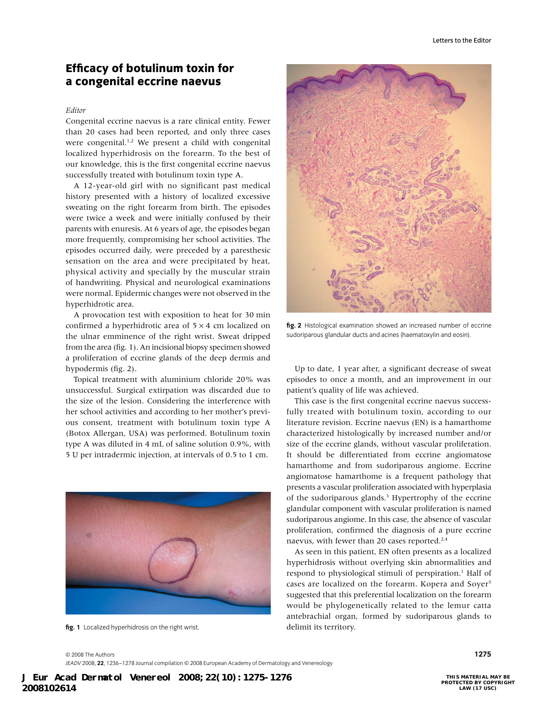## **Efficacy of botulinum toxin for a congenital eccrine naevus**

### *Editor*

Congenital eccrine naevus is a rare clinical entity. Fewer than 20 cases had been reported, and only three cases were congenital.<sup>1,2</sup> We present a child with congenital localized hyperhidrosis on the forearm. To the best of our knowledge, this is the first congenital eccrine naevus successfully treated with botulinum toxin type A.

A 12-year-old girl with no significant past medical history presented with a history of localized excessive sweating on the right forearm from birth. The episodes were twice a week and were initially confused by their parents with enuresis. At 6 years of age, the episodes began more frequently, compromising her school activities. The episodes occurred daily, were preceded by a paresthesic sensation on the area and were precipitated by heat, physical activity and specially by the muscular strain of handwriting. Physical and neurological examinations were normal. Epidermic changes were not observed in the hyperhidrotic area.

A provocation test with exposition to heat for 30 min confirmed a hyperhidrotic area of  $5 \times 4$  cm localized on the ulnar emminence of the right wrist. Sweat dripped from the area (fig. 1). An incisional biopsy specimen showed a proliferation of eccrine glands of the deep dermis and hypodermis (fig. 2).

Topical treatment with aluminium chloride 20% was unsuccessful. Surgical extirpation was discarded due to the size of the lesion. Considering the interference with her school activities and according to her mother's previous consent, treatment with botulinum toxin type A (Botox Allergan, USA) was performed. Botulinum toxin type A was diluted in 4 mL of saline solution 0.9%, with 5 U per intradermic injection, at intervals of 0.5 to 1 cm.



**fig. 1** Localized hyperhidrosis on the right wrist. delimit its territory.



**fig. 2** Histological examination showed an increased number of eccrine sudoriparous glandular ducts and acines (haematoxylin and eosin).

Up to date, 1 year after, a significant decrease of sweat episodes to once a month, and an improvement in our patient's quality of life was achieved.

This case is the first congenital eccrine naevus successfully treated with botulinum toxin, according to our literature revision. Eccrine naevus (EN) is a hamarthome characterized histologically by increased number and/or size of the eccrine glands, without vascular proliferation. It should be differentiated from eccrine angiomatose hamarthome and from sudoriparous angiome. Eccrine angiomatose hamarthome is a frequent pathology that presents a vascular proliferation associated with hyperplasia of the sudoriparous glands.<sup>3</sup> Hypertrophy of the eccrine glandular component with vascular proliferation is named sudoriparous angiome. In this case, the absence of vascular proliferation, confirmed the diagnosis of a pure eccrine naevus, with fewer than 20 cases reported.<sup>2,4</sup>

As seen in this patient, EN often presents as a localized hyperhidrosis without overlying skin abnormalities and respond to physiological stimuli of perspiration.<sup>1</sup> Half of cases are localized on the forearm. Kopera and Soyer<sup>5</sup> suggested that this preferential localization on the forearm would be phylogenetically related to the lemur catta antebrachial organ, formed by sudoriparous glands to

© 2008 The Authors **1275** *JEADV* 2008, **22**, 1236–1278 Journal compilation © 2008 European Academy of Dermatology and Venereology